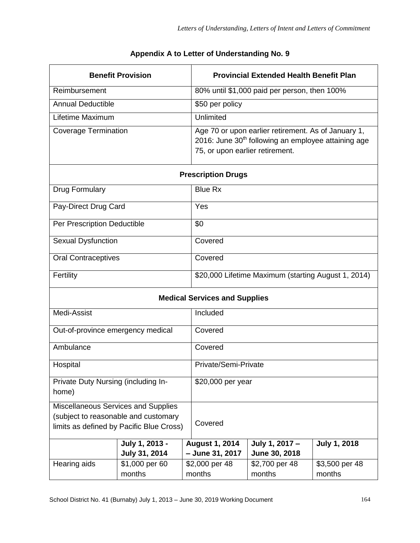| <b>Benefit Provision</b>                     |                                          |                                          | <b>Provincial Extended Health Benefit Plan</b>                                                                                                            |                          |  |  |
|----------------------------------------------|------------------------------------------|------------------------------------------|-----------------------------------------------------------------------------------------------------------------------------------------------------------|--------------------------|--|--|
| Reimbursement                                |                                          |                                          | 80% until \$1,000 paid per person, then 100%                                                                                                              |                          |  |  |
| <b>Annual Deductible</b>                     |                                          | \$50 per policy                          |                                                                                                                                                           |                          |  |  |
| Lifetime Maximum                             |                                          | Unlimited                                |                                                                                                                                                           |                          |  |  |
| <b>Coverage Termination</b>                  |                                          |                                          | Age 70 or upon earlier retirement. As of January 1,<br>2016: June 30 <sup>th</sup> following an employee attaining age<br>75, or upon earlier retirement. |                          |  |  |
| <b>Prescription Drugs</b>                    |                                          |                                          |                                                                                                                                                           |                          |  |  |
| Drug Formulary                               |                                          | <b>Blue Rx</b>                           |                                                                                                                                                           |                          |  |  |
| Pay-Direct Drug Card                         |                                          | Yes                                      |                                                                                                                                                           |                          |  |  |
| Per Prescription Deductible                  |                                          | \$0                                      |                                                                                                                                                           |                          |  |  |
| <b>Sexual Dysfunction</b>                    |                                          | Covered                                  |                                                                                                                                                           |                          |  |  |
| <b>Oral Contraceptives</b>                   |                                          | Covered                                  |                                                                                                                                                           |                          |  |  |
| Fertility                                    |                                          |                                          | \$20,000 Lifetime Maximum (starting August 1, 2014)                                                                                                       |                          |  |  |
| <b>Medical Services and Supplies</b>         |                                          |                                          |                                                                                                                                                           |                          |  |  |
| Medi-Assist                                  |                                          | Included                                 |                                                                                                                                                           |                          |  |  |
| Out-of-province emergency medical            |                                          | Covered                                  |                                                                                                                                                           |                          |  |  |
| Ambulance                                    |                                          | Covered                                  |                                                                                                                                                           |                          |  |  |
| Hospital                                     |                                          |                                          | Private/Semi-Private                                                                                                                                      |                          |  |  |
| Private Duty Nursing (including In-<br>home) |                                          |                                          | \$20,000 per year                                                                                                                                         |                          |  |  |
| Miscellaneous Services and Supplies          |                                          |                                          |                                                                                                                                                           |                          |  |  |
| (subject to reasonable and customary         | limits as defined by Pacific Blue Cross) | Covered                                  |                                                                                                                                                           |                          |  |  |
|                                              | July 1, 2013 -<br>July 31, 2014          | <b>August 1, 2014</b><br>- June 31, 2017 | July 1, 2017 -<br>June 30, 2018                                                                                                                           | <b>July 1, 2018</b>      |  |  |
| Hearing aids                                 | \$1,000 per 60<br>months                 | \$2,000 per 48<br>months                 | \$2,700 per 48<br>months                                                                                                                                  | \$3,500 per 48<br>months |  |  |

## **Appendix A to Letter of Understanding No. 9**